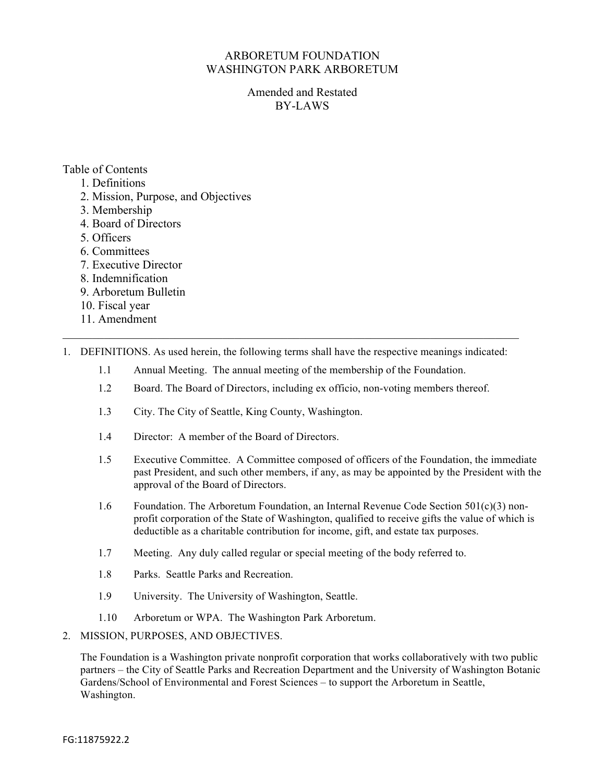## ARBORETUM FOUNDATION WASHINGTON PARK ARBORETUM

Amended and Restated BY-LAWS

# Table of Contents

- 1. Definitions
- 2. Mission, Purpose, and Objectives
- 3. Membership
- 4. Board of Directors
- 5. Officers
- 6. Committees
- 7. Executive Director
- 8. Indemnification
- 9. Arboretum Bulletin
- 10. Fiscal year
- 11. Amendment
- 1. DEFINITIONS. As used herein, the following terms shall have the respective meanings indicated:

 $\_$  , and the contribution of the contribution of the contribution of the contribution of  $\mathcal{L}_\text{max}$ 

- 1.1 Annual Meeting. The annual meeting of the membership of the Foundation.
- 1.2 Board. The Board of Directors, including ex officio, non-voting members thereof.
- 1.3 City. The City of Seattle, King County, Washington.
- 1.4 Director: A member of the Board of Directors.
- 1.5 Executive Committee. A Committee composed of officers of the Foundation, the immediate past President, and such other members, if any, as may be appointed by the President with the approval of the Board of Directors.
- 1.6 Foundation. The Arboretum Foundation, an Internal Revenue Code Section  $501(c)(3)$  nonprofit corporation of the State of Washington, qualified to receive gifts the value of which is deductible as a charitable contribution for income, gift, and estate tax purposes.
- 1.7 Meeting. Any duly called regular or special meeting of the body referred to.
- 1.8 Parks. Seattle Parks and Recreation.
- 1.9 University. The University of Washington, Seattle.
- 1.10 Arboretum or WPA. The Washington Park Arboretum.
- 2. MISSION, PURPOSES, AND OBJECTIVES.

The Foundation is a Washington private nonprofit corporation that works collaboratively with two public partners – the City of Seattle Parks and Recreation Department and the University of Washington Botanic Gardens/School of Environmental and Forest Sciences – to support the Arboretum in Seattle, Washington.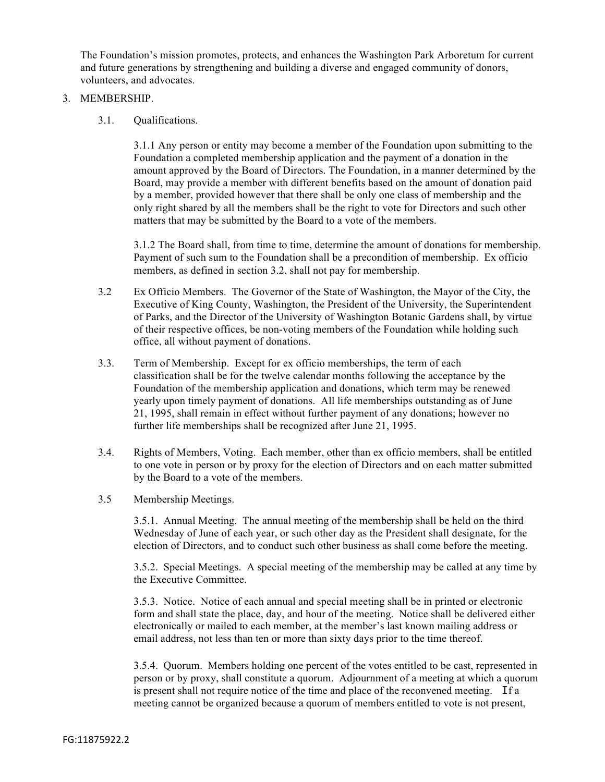The Foundation's mission promotes, protects, and enhances the Washington Park Arboretum for current and future generations by strengthening and building a diverse and engaged community of donors, volunteers, and advocates.

### 3. MEMBERSHIP.

3.1. Qualifications.

3.1.1 Any person or entity may become a member of the Foundation upon submitting to the Foundation a completed membership application and the payment of a donation in the amount approved by the Board of Directors. The Foundation, in a manner determined by the Board, may provide a member with different benefits based on the amount of donation paid by a member, provided however that there shall be only one class of membership and the only right shared by all the members shall be the right to vote for Directors and such other matters that may be submitted by the Board to a vote of the members.

3.1.2 The Board shall, from time to time, determine the amount of donations for membership. Payment of such sum to the Foundation shall be a precondition of membership. Ex officio members, as defined in section 3.2, shall not pay for membership.

- 3.2 Ex Officio Members. The Governor of the State of Washington, the Mayor of the City, the Executive of King County, Washington, the President of the University, the Superintendent of Parks, and the Director of the University of Washington Botanic Gardens shall, by virtue of their respective offices, be non-voting members of the Foundation while holding such office, all without payment of donations.
- 3.3. Term of Membership. Except for ex officio memberships, the term of each classification shall be for the twelve calendar months following the acceptance by the Foundation of the membership application and donations, which term may be renewed yearly upon timely payment of donations. All life memberships outstanding as of June 21, 1995, shall remain in effect without further payment of any donations; however no further life memberships shall be recognized after June 21, 1995.
- 3.4. Rights of Members, Voting. Each member, other than ex officio members, shall be entitled to one vote in person or by proxy for the election of Directors and on each matter submitted by the Board to a vote of the members.
- 3.5 Membership Meetings.

3.5.1. Annual Meeting. The annual meeting of the membership shall be held on the third Wednesday of June of each year, or such other day as the President shall designate, for the election of Directors, and to conduct such other business as shall come before the meeting.

3.5.2. Special Meetings. A special meeting of the membership may be called at any time by the Executive Committee.

3.5.3. Notice. Notice of each annual and special meeting shall be in printed or electronic form and shall state the place, day, and hour of the meeting. Notice shall be delivered either electronically or mailed to each member, at the member's last known mailing address or email address, not less than ten or more than sixty days prior to the time thereof.

3.5.4. Quorum. Members holding one percent of the votes entitled to be cast, represented in person or by proxy, shall constitute a quorum. Adjournment of a meeting at which a quorum is present shall not require notice of the time and place of the reconvened meeting. If a meeting cannot be organized because a quorum of members entitled to vote is not present,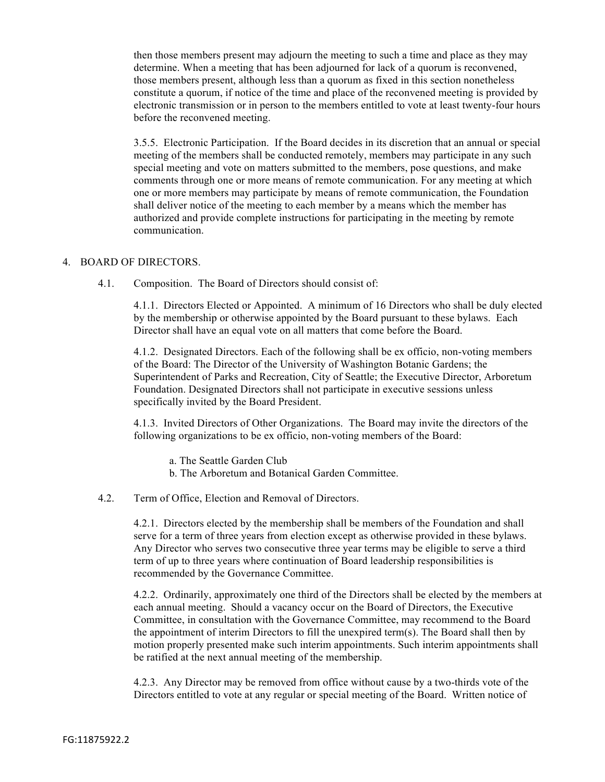then those members present may adjourn the meeting to such a time and place as they may determine. When a meeting that has been adjourned for lack of a quorum is reconvened, those members present, although less than a quorum as fixed in this section nonetheless constitute a quorum, if notice of the time and place of the reconvened meeting is provided by electronic transmission or in person to the members entitled to vote at least twenty-four hours before the reconvened meeting.

3.5.5. Electronic Participation. If the Board decides in its discretion that an annual or special meeting of the members shall be conducted remotely, members may participate in any such special meeting and vote on matters submitted to the members, pose questions, and make comments through one or more means of remote communication. For any meeting at which one or more members may participate by means of remote communication, the Foundation shall deliver notice of the meeting to each member by a means which the member has authorized and provide complete instructions for participating in the meeting by remote communication.

#### 4. BOARD OF DIRECTORS.

4.1. Composition. The Board of Directors should consist of:

4.1.1. Directors Elected or Appointed. A minimum of 16 Directors who shall be duly elected by the membership or otherwise appointed by the Board pursuant to these bylaws. Each Director shall have an equal vote on all matters that come before the Board.

4.1.2. Designated Directors. Each of the following shall be ex officio, non-voting members of the Board: The Director of the University of Washington Botanic Gardens; the Superintendent of Parks and Recreation, City of Seattle; the Executive Director, Arboretum Foundation. Designated Directors shall not participate in executive sessions unless specifically invited by the Board President.

4.1.3. Invited Directors of Other Organizations. The Board may invite the directors of the following organizations to be ex officio, non-voting members of the Board:

- a. The Seattle Garden Club
- b. The Arboretum and Botanical Garden Committee.
- 4.2. Term of Office, Election and Removal of Directors.

4.2.1. Directors elected by the membership shall be members of the Foundation and shall serve for a term of three years from election except as otherwise provided in these bylaws. Any Director who serves two consecutive three year terms may be eligible to serve a third term of up to three years where continuation of Board leadership responsibilities is recommended by the Governance Committee.

4.2.2. Ordinarily, approximately one third of the Directors shall be elected by the members at each annual meeting. Should a vacancy occur on the Board of Directors, the Executive Committee, in consultation with the Governance Committee, may recommend to the Board the appointment of interim Directors to fill the unexpired term(s). The Board shall then by motion properly presented make such interim appointments. Such interim appointments shall be ratified at the next annual meeting of the membership.

4.2.3. Any Director may be removed from office without cause by a two-thirds vote of the Directors entitled to vote at any regular or special meeting of the Board. Written notice of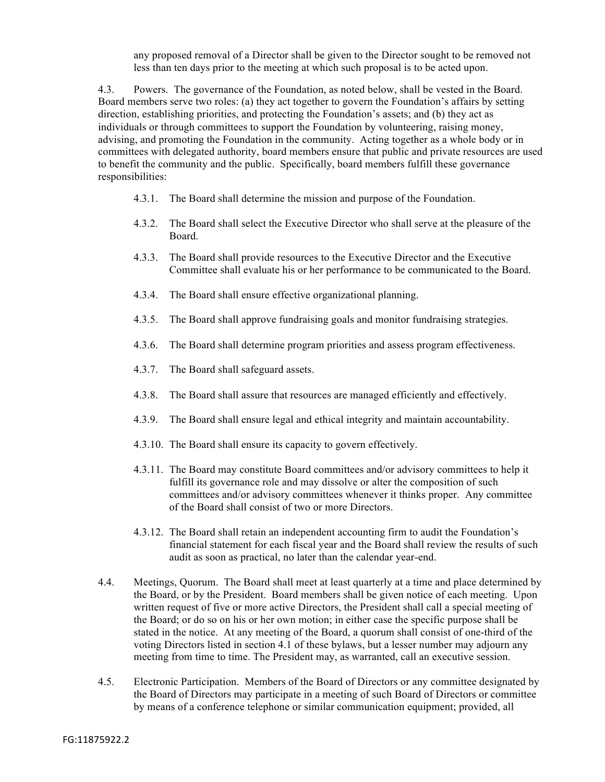any proposed removal of a Director shall be given to the Director sought to be removed not less than ten days prior to the meeting at which such proposal is to be acted upon.

4.3. Powers. The governance of the Foundation, as noted below, shall be vested in the Board. Board members serve two roles: (a) they act together to govern the Foundation's affairs by setting direction, establishing priorities, and protecting the Foundation's assets; and (b) they act as individuals or through committees to support the Foundation by volunteering, raising money, advising, and promoting the Foundation in the community. Acting together as a whole body or in committees with delegated authority, board members ensure that public and private resources are used to benefit the community and the public. Specifically, board members fulfill these governance responsibilities:

- 4.3.1. The Board shall determine the mission and purpose of the Foundation.
- 4.3.2. The Board shall select the Executive Director who shall serve at the pleasure of the Board.
- 4.3.3. The Board shall provide resources to the Executive Director and the Executive Committee shall evaluate his or her performance to be communicated to the Board.
- 4.3.4. The Board shall ensure effective organizational planning.
- 4.3.5. The Board shall approve fundraising goals and monitor fundraising strategies.
- 4.3.6. The Board shall determine program priorities and assess program effectiveness.
- 4.3.7. The Board shall safeguard assets.
- 4.3.8. The Board shall assure that resources are managed efficiently and effectively.
- 4.3.9. The Board shall ensure legal and ethical integrity and maintain accountability.
- 4.3.10. The Board shall ensure its capacity to govern effectively.
- 4.3.11. The Board may constitute Board committees and/or advisory committees to help it fulfill its governance role and may dissolve or alter the composition of such committees and/or advisory committees whenever it thinks proper. Any committee of the Board shall consist of two or more Directors.
- 4.3.12. The Board shall retain an independent accounting firm to audit the Foundation's financial statement for each fiscal year and the Board shall review the results of such audit as soon as practical, no later than the calendar year-end.
- 4.4. Meetings, Quorum. The Board shall meet at least quarterly at a time and place determined by the Board, or by the President. Board members shall be given notice of each meeting. Upon written request of five or more active Directors, the President shall call a special meeting of the Board; or do so on his or her own motion; in either case the specific purpose shall be stated in the notice. At any meeting of the Board, a quorum shall consist of one-third of the voting Directors listed in section 4.1 of these bylaws, but a lesser number may adjourn any meeting from time to time. The President may, as warranted, call an executive session.
- 4.5. Electronic Participation. Members of the Board of Directors or any committee designated by the Board of Directors may participate in a meeting of such Board of Directors or committee by means of a conference telephone or similar communication equipment; provided, all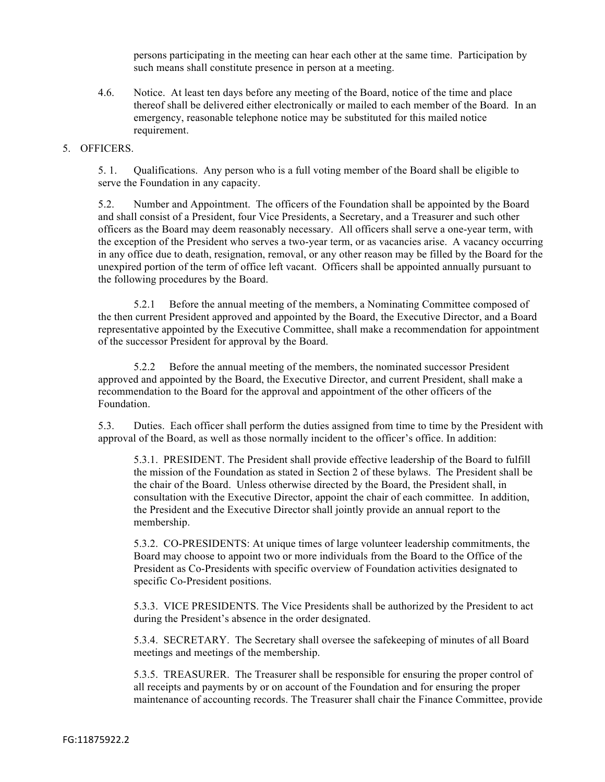persons participating in the meeting can hear each other at the same time. Participation by such means shall constitute presence in person at a meeting.

4.6. Notice. At least ten days before any meeting of the Board, notice of the time and place thereof shall be delivered either electronically or mailed to each member of the Board. In an emergency, reasonable telephone notice may be substituted for this mailed notice requirement.

#### 5. OFFICERS.

5. 1. Qualifications. Any person who is a full voting member of the Board shall be eligible to serve the Foundation in any capacity.

5.2. Number and Appointment. The officers of the Foundation shall be appointed by the Board and shall consist of a President, four Vice Presidents, a Secretary, and a Treasurer and such other officers as the Board may deem reasonably necessary. All officers shall serve a one-year term, with the exception of the President who serves a two-year term, or as vacancies arise. A vacancy occurring in any office due to death, resignation, removal, or any other reason may be filled by the Board for the unexpired portion of the term of office left vacant. Officers shall be appointed annually pursuant to the following procedures by the Board.

5.2.1 Before the annual meeting of the members, a Nominating Committee composed of the then current President approved and appointed by the Board, the Executive Director, and a Board representative appointed by the Executive Committee, shall make a recommendation for appointment of the successor President for approval by the Board.

5.2.2 Before the annual meeting of the members, the nominated successor President approved and appointed by the Board, the Executive Director, and current President, shall make a recommendation to the Board for the approval and appointment of the other officers of the Foundation.

5.3. Duties. Each officer shall perform the duties assigned from time to time by the President with approval of the Board, as well as those normally incident to the officer's office. In addition:

5.3.1. PRESIDENT. The President shall provide effective leadership of the Board to fulfill the mission of the Foundation as stated in Section 2 of these bylaws. The President shall be the chair of the Board. Unless otherwise directed by the Board, the President shall, in consultation with the Executive Director, appoint the chair of each committee. In addition, the President and the Executive Director shall jointly provide an annual report to the membership.

5.3.2. CO-PRESIDENTS: At unique times of large volunteer leadership commitments, the Board may choose to appoint two or more individuals from the Board to the Office of the President as Co-Presidents with specific overview of Foundation activities designated to specific Co-President positions.

5.3.3. VICE PRESIDENTS. The Vice Presidents shall be authorized by the President to act during the President's absence in the order designated.

5.3.4. SECRETARY. The Secretary shall oversee the safekeeping of minutes of all Board meetings and meetings of the membership.

5.3.5. TREASURER. The Treasurer shall be responsible for ensuring the proper control of all receipts and payments by or on account of the Foundation and for ensuring the proper maintenance of accounting records. The Treasurer shall chair the Finance Committee, provide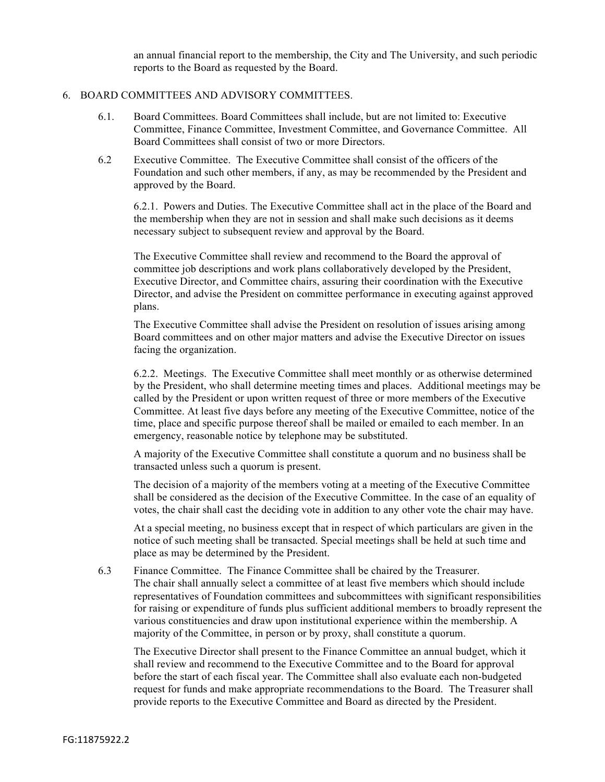an annual financial report to the membership, the City and The University, and such periodic reports to the Board as requested by the Board.

#### 6. BOARD COMMITTEES AND ADVISORY COMMITTEES.

- 6.1. Board Committees. Board Committees shall include, but are not limited to: Executive Committee, Finance Committee, Investment Committee, and Governance Committee. All Board Committees shall consist of two or more Directors.
- 6.2 Executive Committee. The Executive Committee shall consist of the officers of the Foundation and such other members, if any, as may be recommended by the President and approved by the Board.

6.2.1. Powers and Duties. The Executive Committee shall act in the place of the Board and the membership when they are not in session and shall make such decisions as it deems necessary subject to subsequent review and approval by the Board.

The Executive Committee shall review and recommend to the Board the approval of committee job descriptions and work plans collaboratively developed by the President, Executive Director, and Committee chairs, assuring their coordination with the Executive Director, and advise the President on committee performance in executing against approved plans.

The Executive Committee shall advise the President on resolution of issues arising among Board committees and on other major matters and advise the Executive Director on issues facing the organization.

6.2.2. Meetings. The Executive Committee shall meet monthly or as otherwise determined by the President, who shall determine meeting times and places. Additional meetings may be called by the President or upon written request of three or more members of the Executive Committee. At least five days before any meeting of the Executive Committee, notice of the time, place and specific purpose thereof shall be mailed or emailed to each member. In an emergency, reasonable notice by telephone may be substituted.

A majority of the Executive Committee shall constitute a quorum and no business shall be transacted unless such a quorum is present.

The decision of a majority of the members voting at a meeting of the Executive Committee shall be considered as the decision of the Executive Committee. In the case of an equality of votes, the chair shall cast the deciding vote in addition to any other vote the chair may have.

At a special meeting, no business except that in respect of which particulars are given in the notice of such meeting shall be transacted. Special meetings shall be held at such time and place as may be determined by the President.

6.3 Finance Committee. The Finance Committee shall be chaired by the Treasurer. The chair shall annually select a committee of at least five members which should include representatives of Foundation committees and subcommittees with significant responsibilities for raising or expenditure of funds plus sufficient additional members to broadly represent the various constituencies and draw upon institutional experience within the membership. A majority of the Committee, in person or by proxy, shall constitute a quorum.

The Executive Director shall present to the Finance Committee an annual budget, which it shall review and recommend to the Executive Committee and to the Board for approval before the start of each fiscal year. The Committee shall also evaluate each non-budgeted request for funds and make appropriate recommendations to the Board. The Treasurer shall provide reports to the Executive Committee and Board as directed by the President.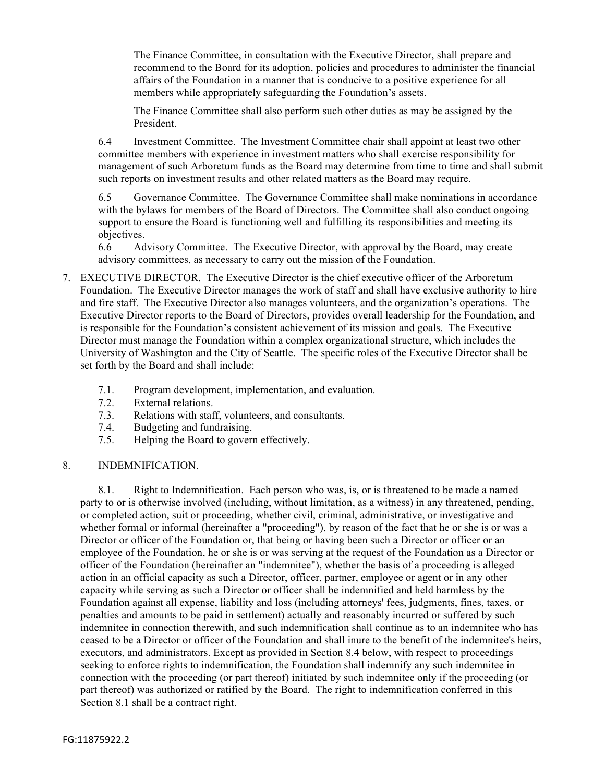The Finance Committee, in consultation with the Executive Director, shall prepare and recommend to the Board for its adoption, policies and procedures to administer the financial affairs of the Foundation in a manner that is conducive to a positive experience for all members while appropriately safeguarding the Foundation's assets.

The Finance Committee shall also perform such other duties as may be assigned by the President.

6.4 Investment Committee. The Investment Committee chair shall appoint at least two other committee members with experience in investment matters who shall exercise responsibility for management of such Arboretum funds as the Board may determine from time to time and shall submit such reports on investment results and other related matters as the Board may require.

6.5 Governance Committee. The Governance Committee shall make nominations in accordance with the bylaws for members of the Board of Directors. The Committee shall also conduct ongoing support to ensure the Board is functioning well and fulfilling its responsibilities and meeting its objectives.

6.6 Advisory Committee. The Executive Director, with approval by the Board, may create advisory committees, as necessary to carry out the mission of the Foundation.

- 7. EXECUTIVE DIRECTOR. The Executive Director is the chief executive officer of the Arboretum Foundation. The Executive Director manages the work of staff and shall have exclusive authority to hire and fire staff. The Executive Director also manages volunteers, and the organization's operations. The Executive Director reports to the Board of Directors, provides overall leadership for the Foundation, and is responsible for the Foundation's consistent achievement of its mission and goals. The Executive Director must manage the Foundation within a complex organizational structure, which includes the University of Washington and the City of Seattle. The specific roles of the Executive Director shall be set forth by the Board and shall include:
	- 7.1. Program development, implementation, and evaluation.
	- 7.2. External relations.
	- 7.3. Relations with staff, volunteers, and consultants.
	- 7.4. Budgeting and fundraising.
	- 7.5. Helping the Board to govern effectively.

#### 8. INDEMNIFICATION.

8.1. Right to Indemnification. Each person who was, is, or is threatened to be made a named party to or is otherwise involved (including, without limitation, as a witness) in any threatened, pending, or completed action, suit or proceeding, whether civil, criminal, administrative, or investigative and whether formal or informal (hereinafter a "proceeding"), by reason of the fact that he or she is or was a Director or officer of the Foundation or, that being or having been such a Director or officer or an employee of the Foundation, he or she is or was serving at the request of the Foundation as a Director or officer of the Foundation (hereinafter an "indemnitee"), whether the basis of a proceeding is alleged action in an official capacity as such a Director, officer, partner, employee or agent or in any other capacity while serving as such a Director or officer shall be indemnified and held harmless by the Foundation against all expense, liability and loss (including attorneys' fees, judgments, fines, taxes, or penalties and amounts to be paid in settlement) actually and reasonably incurred or suffered by such indemnitee in connection therewith, and such indemnification shall continue as to an indemnitee who has ceased to be a Director or officer of the Foundation and shall inure to the benefit of the indemnitee's heirs, executors, and administrators. Except as provided in Section 8.4 below, with respect to proceedings seeking to enforce rights to indemnification, the Foundation shall indemnify any such indemnitee in connection with the proceeding (or part thereof) initiated by such indemnitee only if the proceeding (or part thereof) was authorized or ratified by the Board. The right to indemnification conferred in this Section 8.1 shall be a contract right.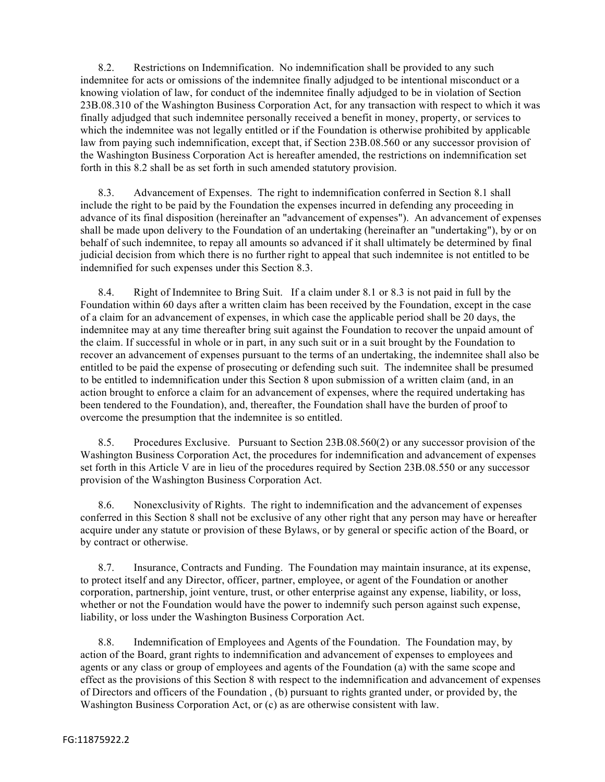8.2. Restrictions on Indemnification. No indemnification shall be provided to any such indemnitee for acts or omissions of the indemnitee finally adjudged to be intentional misconduct or a knowing violation of law, for conduct of the indemnitee finally adjudged to be in violation of Section 23B.08.310 of the Washington Business Corporation Act, for any transaction with respect to which it was finally adjudged that such indemnitee personally received a benefit in money, property, or services to which the indemnitee was not legally entitled or if the Foundation is otherwise prohibited by applicable law from paying such indemnification, except that, if Section 23B.08.560 or any successor provision of the Washington Business Corporation Act is hereafter amended, the restrictions on indemnification set forth in this 8.2 shall be as set forth in such amended statutory provision.

8.3. Advancement of Expenses. The right to indemnification conferred in Section 8.1 shall include the right to be paid by the Foundation the expenses incurred in defending any proceeding in advance of its final disposition (hereinafter an "advancement of expenses"). An advancement of expenses shall be made upon delivery to the Foundation of an undertaking (hereinafter an "undertaking"), by or on behalf of such indemnitee, to repay all amounts so advanced if it shall ultimately be determined by final judicial decision from which there is no further right to appeal that such indemnitee is not entitled to be indemnified for such expenses under this Section 8.3.

8.4. Right of Indemnitee to Bring Suit. If a claim under 8.1 or 8.3 is not paid in full by the Foundation within 60 days after a written claim has been received by the Foundation, except in the case of a claim for an advancement of expenses, in which case the applicable period shall be 20 days, the indemnitee may at any time thereafter bring suit against the Foundation to recover the unpaid amount of the claim. If successful in whole or in part, in any such suit or in a suit brought by the Foundation to recover an advancement of expenses pursuant to the terms of an undertaking, the indemnitee shall also be entitled to be paid the expense of prosecuting or defending such suit. The indemnitee shall be presumed to be entitled to indemnification under this Section 8 upon submission of a written claim (and, in an action brought to enforce a claim for an advancement of expenses, where the required undertaking has been tendered to the Foundation), and, thereafter, the Foundation shall have the burden of proof to overcome the presumption that the indemnitee is so entitled.

8.5. Procedures Exclusive. Pursuant to Section 23B.08.560(2) or any successor provision of the Washington Business Corporation Act, the procedures for indemnification and advancement of expenses set forth in this Article V are in lieu of the procedures required by Section 23B.08.550 or any successor provision of the Washington Business Corporation Act.

8.6. Nonexclusivity of Rights. The right to indemnification and the advancement of expenses conferred in this Section 8 shall not be exclusive of any other right that any person may have or hereafter acquire under any statute or provision of these Bylaws, or by general or specific action of the Board, or by contract or otherwise.

8.7. Insurance, Contracts and Funding. The Foundation may maintain insurance, at its expense, to protect itself and any Director, officer, partner, employee, or agent of the Foundation or another corporation, partnership, joint venture, trust, or other enterprise against any expense, liability, or loss, whether or not the Foundation would have the power to indemnify such person against such expense, liability, or loss under the Washington Business Corporation Act.

8.8. Indemnification of Employees and Agents of the Foundation. The Foundation may, by action of the Board, grant rights to indemnification and advancement of expenses to employees and agents or any class or group of employees and agents of the Foundation (a) with the same scope and effect as the provisions of this Section 8 with respect to the indemnification and advancement of expenses of Directors and officers of the Foundation , (b) pursuant to rights granted under, or provided by, the Washington Business Corporation Act, or (c) as are otherwise consistent with law.